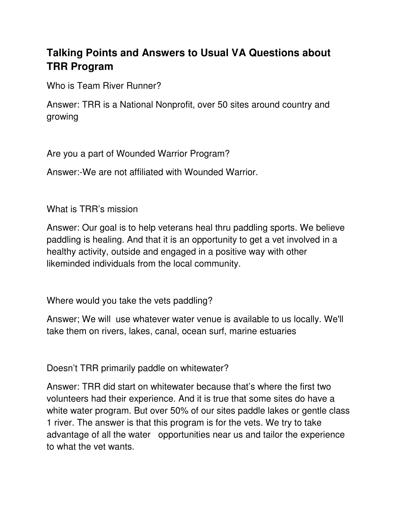## **Talking Points and Answers to Usual VA Questions about TRR Program**

Who is Team River Runner?

Answer: TRR is a National Nonprofit, over 50 sites around country and growing

Are you a part of Wounded Warrior Program?

Answer:-We are not affiliated with Wounded Warrior.

What is TRR's mission

Answer: Our goal is to help veterans heal thru paddling sports. We believe paddling is healing. And that it is an opportunity to get a vet involved in a healthy activity, outside and engaged in a positive way with other likeminded individuals from the local community.

Where would you take the vets paddling?

Answer; We will use whatever water venue is available to us locally. We'll take them on rivers, lakes, canal, ocean surf, marine estuaries

Doesn't TRR primarily paddle on whitewater?

Answer: TRR did start on whitewater because that's where the first two volunteers had their experience. And it is true that some sites do have a white water program. But over 50% of our sites paddle lakes or gentle class 1 river. The answer is that this program is for the vets. We try to take advantage of all the water opportunities near us and tailor the experience to what the vet wants.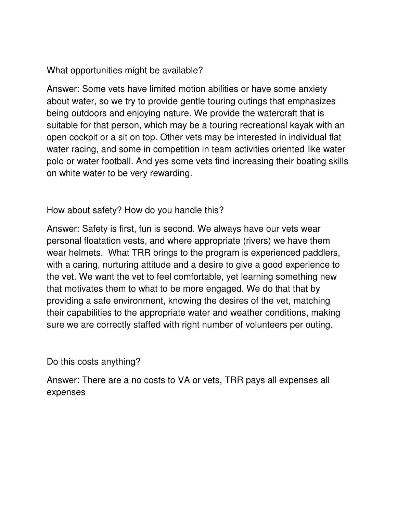What opportunities might be available?

Answer: Some vets have limited motion abilities or have some anxiety about water, so we try to provide gentle touring outings that emphasizes being outdoors and enjoying nature. We provide the watercraft that is suitable for that person, which may be a touring recreational kayak with an open cockpit or a sit on top. Other vets may be interested in individual flat water racing, and some in competition in team activities oriented like water polo or water football. And yes some vets find increasing their boating skills on white water to be very rewarding.

How about safety? How do you handle this?

Answer: Safety is first, fun is second. We always have our vets wear personal floatation vests, and where appropriate (rivers) we have them wear helmets. What TRR brings to the program is experienced paddlers, with a caring, nurturing attitude and a desire to give a good experience to the vet. We want the vet to feel comfortable, yet learning something new that motivates them to what to be more engaged. We do that that by providing a safe environment, knowing the desires of the vet, matching their capabilities to the appropriate water and weather conditions, making sure we are correctly staffed with right number of volunteers per outing.

Do this costs anything?

Answer: There are a no costs to VA or vets, TRR pays all expenses all expenses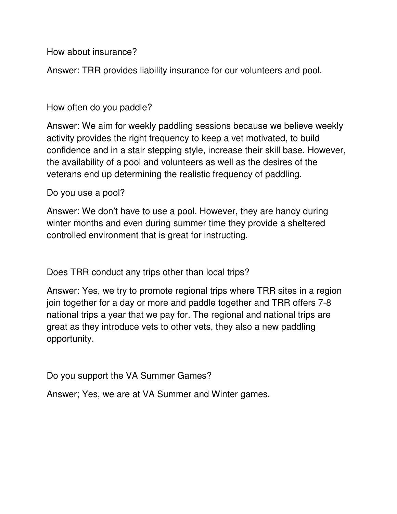How about insurance?

Answer: TRR provides liability insurance for our volunteers and pool.

## How often do you paddle?

Answer: We aim for weekly paddling sessions because we believe weekly activity provides the right frequency to keep a vet motivated, to build confidence and in a stair stepping style, increase their skill base. However, the availability of a pool and volunteers as well as the desires of the veterans end up determining the realistic frequency of paddling.

Do you use a pool?

Answer: We don't have to use a pool. However, they are handy during winter months and even during summer time they provide a sheltered controlled environment that is great for instructing.

Does TRR conduct any trips other than local trips?

Answer: Yes, we try to promote regional trips where TRR sites in a region join together for a day or more and paddle together and TRR offers 7-8 national trips a year that we pay for. The regional and national trips are great as they introduce vets to other vets, they also a new paddling opportunity.

Do you support the VA Summer Games?

Answer; Yes, we are at VA Summer and Winter games.